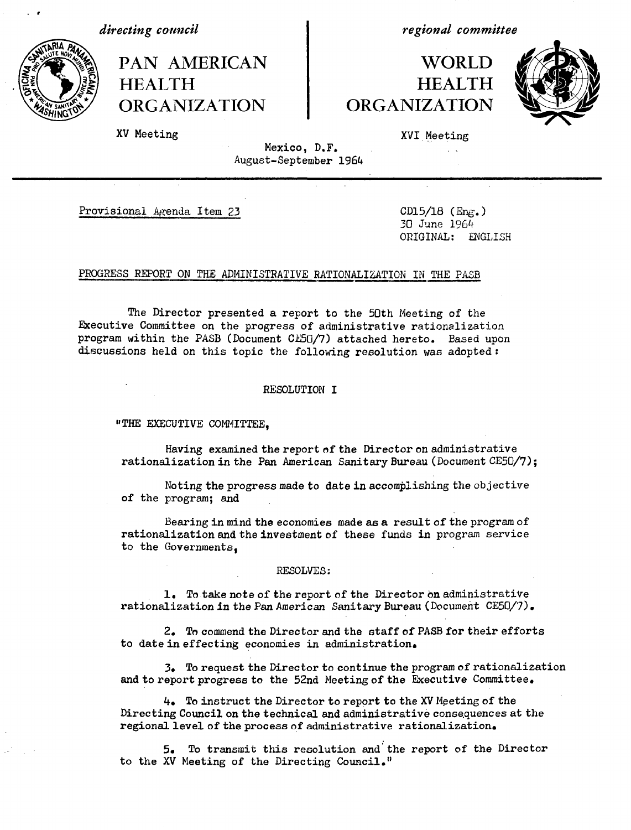*directing council*

. 9



*regional committee*

## WORLD HEALTH **ORGANIZATION**



XV Meeting

XVI Meeting

Mexico, D.F. August-September 1964

Provisional Agenda Item 23 CD15/18 (Eng.)

30 June 1964 ORIGINAL: ENGLISH

#### PROGRESS REPORT ON THE ADMINISTRATIVE RATIONALIZATION IN THE PASB

The Director presented a report to the 50th Meeting of the Executive Committee on the progress of administrative rationalization program within the PASB (Document CE50/7) attached hereto. Based upon discussions held on this topic the following resolution was adopted:

#### RESOLUTION I

"THE EXECUTIVE COMMITTEE.

Having examined the report of the Director on administrative rationalization in the Pan American Sanitary Bureau (Document CE50/7);

Noting the progress made to date in accomplishing the objective of the program; and

Bearing in mind the economies made as a result of the program of rationalization and the investment of these funds in program service to the Governments,

#### RESOLVES:

1. To take note of the report of the Director on administrative rationalization in the Pan American Sanitary Bureau (Document CE50/7).

2. To commend the Director and the staff of PASB for their efforts to date in effecting economies in administration.

3. To request the Director to continue the program of rationalization and to report progress to the 52nd Meeting of the Executive Committee.

4. To instruct the Director to report to the XV Meeting of the Directing Council on the technical and administrative consequences at the regional level of the process of administrative rationalization.

5. To transmit this resolution and the report of the Director to the XV Meeting of the Directing Council."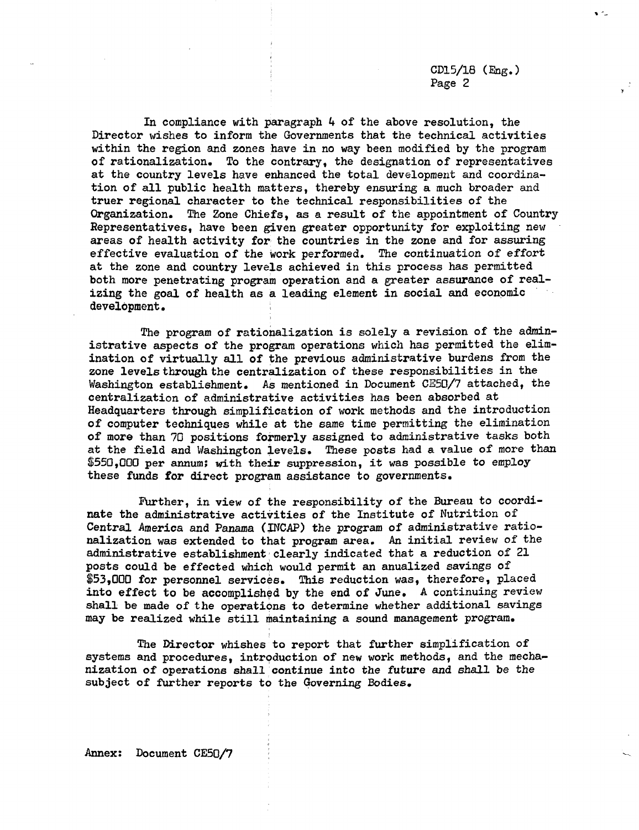CD15/18 **(Eng.)** Page 2

'U

In compliance with paragraph 4 of the above resolution, the Director wishes to inform the Governments that the technical activities within the region and zones have in no way been modified by the program of rationalization. To the contrary, the designation of representatives at the country levels have enhanced the total development and coordination of all public health matters, thereby ensuring a much broader and truer regional character to the technical responsibilities of the Organization. The Zone Chiefs, as a result of the appointment of Country Representatives, have been given greater opportunity for exploiting new areas of health activity for the countries in the zone and for assuring effective evaluation of the work performed. The continuation of effort at the zone and country levels achieved in this process has permitted both more penetrating program operation and a greater assurance of realizing the goal of health as a leading element in social and economic development.

The program of rationalization is solely a revision of the administrative aspects of the program operations which has permitted the elimination of virtually all of the previous administrative burdens from the zone levels through the centralization of these responsibilities in the Washington establishment. As mentioned in Document CE50/7 attached, the centralization of administrative activities has been absorbed at Headquarters through simplification of work methods and the introduction of computer techniques while at the same time permitting the elimination of more than 70 positions formerly assigned to administrative tasks both at the field and Washington levels. These posts had a value of more than \$550,000 per annum; with their suppression, it was possible to employ these funds for direct program assistance to governments.

Further, in view of the responsibility of the Bureau to coordinate the administrative activities of the Institute of Nutrition of Central America and Panama (INCAP) the program of administrative rationalization was extended to that program area. An initial review of the administrative establishment clearly indicated that a reduction of 21 posts could be effected which would permit an anualized savings of \$53,000 for personnel services. This reduction was, therefore, placed into effect to be accomplished by the end of June. A continuing review shall be made of the operations to determine whether additional savings may be realized while still maintaining a sound management program.

The Director whishes to report that further simplification of systems and procedures, introduction of new work methods, and the mechanization of operations shall continue into the future and shall be the subject of further reports to the Governing Bodies.

Annex: Document CE50/7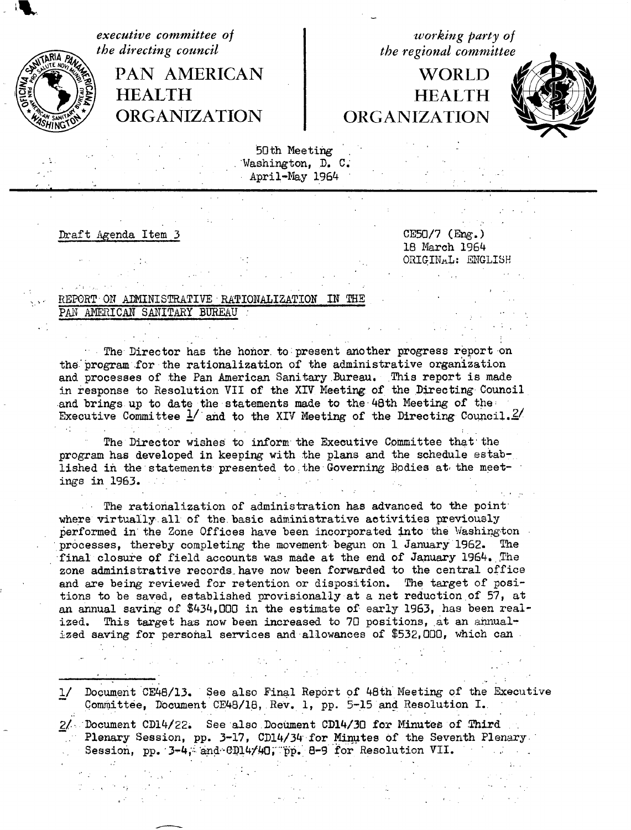**HEALTH HEALTH ORGANIZATION ORGANIZATION**

*executive committee of*<br> *the directing council*<br> *the regional committee the regional committee* 

# PAN AMERICAN | WORLD



50th Meeting Washington, D. C. April-May 1964

Draft Agenda Item 3 CE50/7 (Eng.)

18 March 1964 ORIGINAL: ENGLISH

### REPORT ON ADMINISTRATIVE RATIONALIZATION IN THE PAN AMERICAN SANITARY BUREAU

The Director has the honor. to:present another progress report on the program for the rationalization of the administrative organization and processes of the Pan American Sanitary.Bureau. This report is made in response to Resolution VII of the XIV Meeting of the Directing Council and brings up to date the statements made to the 48th Meeting of the: Executive Committee  $\frac{1}{2}$  and to the XIV Meeting of the Directing Council.<sup>2</sup>

The Director wishes to inform the Executive Committee that the program has developed in keeping with the plans and the schedule established in the statements presented to the Governing Bodies at the meetings in 1963. 小さ かいいん

The rationalization of administration has advanced to the point where virtually all of the basic administrative activities previously performed in the Zone Offices have been incorporated into the Washington processes, thereby completing the movement begun on 1 January'1962. The final closure of field accounts was made at the end of January 1964. The zone administrative records have now been forwarded to the central office and are being reviewed for retention or disposition. The target of positions to be saved, established provisionally at a net reduction of 57, at an annual saving of \$434,000 in the estimate of early 1963, has been realized. This target has now been increased to 70 positions, at an annualized saving for personal services and allowances of \$532,000, which can

1/ Document CE48/13. See also Final Report of 48th Meeting of the Executive Committee, Document CE48/18, Rev. 1, pp. 5-15 and Resolution I..

2\_/--Document CD14/22. See also Document CD14/30 for Minutes of Third Plenary Session, pp. 3-17, CD14/34 for Minutes of the Seventh Plenary. Session, pp.  $3-4$ , and  $CD14/40$ , pp. 8-9 for Resolution VII.